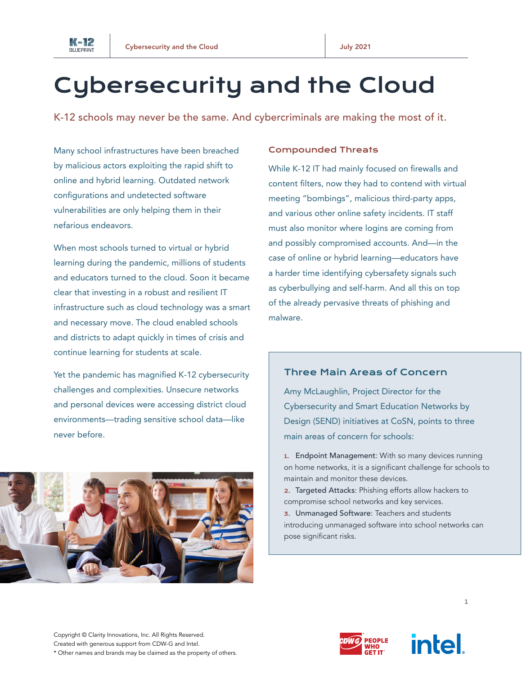

# Cybersecurity and the Cloud

K-12 schools may never be the same. And cybercriminals are making the most of it.

Many school infrastructures have been breached by malicious actors exploiting the rapid shift to online and hybrid learning. Outdated network configurations and undetected software vulnerabilities are only helping them in their nefarious endeavors.

When most schools turned to virtual or hybrid learning during the pandemic, millions of students and educators turned to the cloud. Soon it became clear that investing in a robust and resilient IT infrastructure such as cloud technology was a smart and necessary move. The cloud enabled schools and districts to adapt quickly in times of crisis and continue learning for students at scale.

Yet the pandemic has magnified K-12 cybersecurity challenges and complexities. Unsecure networks and personal devices were accessing district cloud environments—trading sensitive school data—like never before.



#### Compounded Threats

While K-12 IT had mainly focused on firewalls and content filters, now they had to contend with virtual meeting "bombings", malicious third-party apps, and various other online safety incidents. IT staff must also monitor where logins are coming from and possibly compromised accounts. And—in the case of online or hybrid learning—educators have a harder time identifying cybersafety signals such as cyberbullying and self-harm. And all this on top of the already pervasive threats of phishing and malware.

## Three Main Areas of Concern

Amy McLaughlin, Project Director for the Cybersecurity and Smart Education Networks by Design (SEND) initiatives at CoSN, points to three main areas of concern for schools:

- 1. Endpoint Management: With so many devices running on home networks, it is a significant challenge for schools to maintain and monitor these devices.
- 2. Targeted Attacks: Phishing efforts allow hackers to compromise school networks and key services.
- 3. Unmanaged Software: Teachers and students introducing unmanaged software into school networks can pose significant risks.



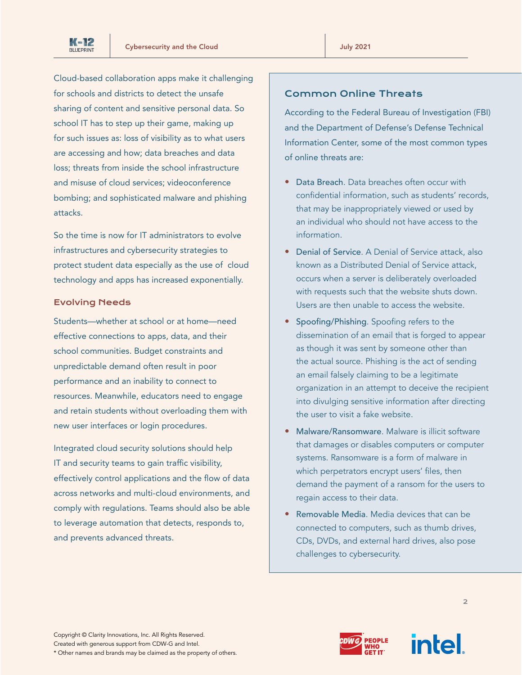

Cloud-based collaboration apps make it challenging for schools and districts to detect the unsafe sharing of content and sensitive personal data. So school IT has to step up their game, making up for such issues as: loss of visibility as to what users are accessing and how; data breaches and data loss; threats from inside the school infrastructure and misuse of cloud services; videoconference bombing; and sophisticated malware and phishing attacks.

So the time is now for IT administrators to evolve infrastructures and cybersecurity strategies to protect student data especially as the use of cloud technology and apps has increased exponentially.

#### Evolving Needs

Students—whether at school or at home—need effective connections to apps, data, and their school communities. Budget constraints and unpredictable demand often result in poor performance and an inability to connect to resources. Meanwhile, educators need to engage and retain students without overloading them with new user interfaces or login procedures.

Integrated cloud security solutions should help IT and security teams to gain traffic visibility, effectively control applications and the flow of data across networks and multi-cloud environments, and comply with regulations. Teams should also be able to leverage automation that detects, responds to, and prevents advanced threats.

# Common Online Threats

According to the Federal Bureau of Investigation (FBI) and the Department of Defense's Defense Technical Information Center, some of the most common types of online threats are:

- Data Breach. Data breaches often occur with confidential information, such as students' records, that may be inappropriately viewed or used by an individual who should not have access to the information.
- Denial of Service. A Denial of Service attack, also known as a Distributed Denial of Service attack, occurs when a server is deliberately overloaded with requests such that the website shuts down. Users are then unable to access the website.
- Spoofing/Phishing. Spoofing refers to the dissemination of an email that is forged to appear as though it was sent by someone other than the actual source. Phishing is the act of sending an email falsely claiming to be a legitimate organization in an attempt to deceive the recipient into divulging sensitive information after directing the user to visit a fake website.
- Malware/Ransomware. Malware is illicit software that damages or disables computers or computer systems. Ransomware is a form of malware in which perpetrators encrypt users' files, then demand the payment of a ransom for the users to regain access to their data.
- Removable Media. Media devices that can be connected to computers, such as thumb drives, CDs, DVDs, and external hard drives, also pose challenges to cybersecurity.



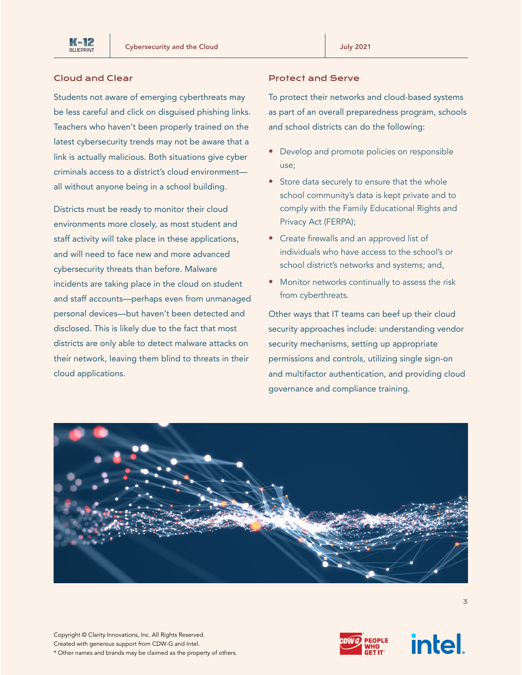## Cloud and Clear

Students not aware of emerging cyberthreats may be less careful and click on disguised phishing links. Teachers who haven't been properly trained on the latest cybersecurity trends may not be aware that a link is actually malicious. Both situations give cyber criminals access to a district's cloud environment all without anyone being in a school building.

Districts must be ready to monitor their cloud environments more closely, as most student and staff activity will take place in these applications, and will need to face new and more advanced cybersecurity threats than before. Malware incidents are taking place in the cloud on student and staff accounts—perhaps even from unmanaged personal devices—but haven't been detected and disclosed. This is likely due to the fact that most districts are only able to detect malware attacks on their network, leaving them blind to threats in their cloud applications.

## Protect and Serve

To protect their networks and cloud-based systems as part of an overall preparedness program, schools and school districts can do the following:

- Develop and promote policies on responsible use;
- Store data securely to ensure that the whole school community's data is kept private and to comply with the Family Educational Rights and Privacy Act (FERPA);
- Create firewalls and an approved list of individuals who have access to the school's or school district's networks and systems; and,
- Monitor networks continually to assess the risk from cyberthreats.

Other ways that IT teams can beef up their cloud security approaches include: understanding vendor security mechanisms, setting up appropriate permissions and controls, utilizing single sign-on and multifactor authentication, and providing cloud governance and compliance training.





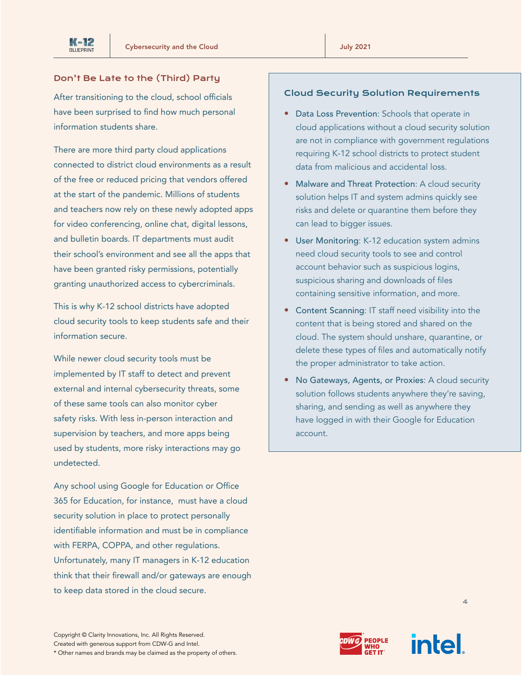## Don't Be Late to the (Third) Party

After transitioning to the cloud, school officials have been surprised to find how much personal information students share.

There are more third party cloud applications connected to district cloud environments as a result of the free or reduced pricing that vendors offered at the start of the pandemic. Millions of students and teachers now rely on these newly adopted apps for video conferencing, online chat, digital lessons, and bulletin boards. IT departments must audit their school's environment and see all the apps that have been granted risky permissions, potentially granting unauthorized access to cybercriminals.

This is why K-12 school districts have adopted cloud security tools to keep students safe and their information secure.

While newer cloud security tools must be implemented by IT staff to detect and prevent external and internal cybersecurity threats, some of these same tools can also monitor cyber safety risks. With less in-person interaction and supervision by teachers, and more apps being used by students, more risky interactions may go undetected.

Any school using Google for Education or Office 365 for Education, for instance, must have a cloud security solution in place to protect personally identifiable information and must be in compliance with FERPA, COPPA, and other regulations. Unfortunately, many IT managers in K-12 education think that their firewall and/or gateways are enough to keep data stored in the cloud secure.

## Cloud Security Solution Requirements

- Data Loss Prevention: Schools that operate in cloud applications without a cloud security solution are not in compliance with government regulations requiring K-12 school districts to protect student data from malicious and accidental loss.
- Malware and Threat Protection: A cloud security solution helps IT and system admins quickly see risks and delete or quarantine them before they can lead to bigger issues.
- User Monitoring: K-12 education system admins need cloud security tools to see and control account behavior such as suspicious logins, suspicious sharing and downloads of files containing sensitive information, and more.
- Content Scanning: IT staff need visibility into the content that is being stored and shared on the cloud. The system should unshare, quarantine, or delete these types of files and automatically notify the proper administrator to take action.
- No Gateways, Agents, or Proxies: A cloud security solution follows students anywhere they're saving, sharing, and sending as well as anywhere they have logged in with their Google for Education account.

Copyright © Clarity Innovations, Inc. All Rights Reserved. Created with generous support from CDW-G and Intel. \* Other names and brands may be claimed as the property of others.